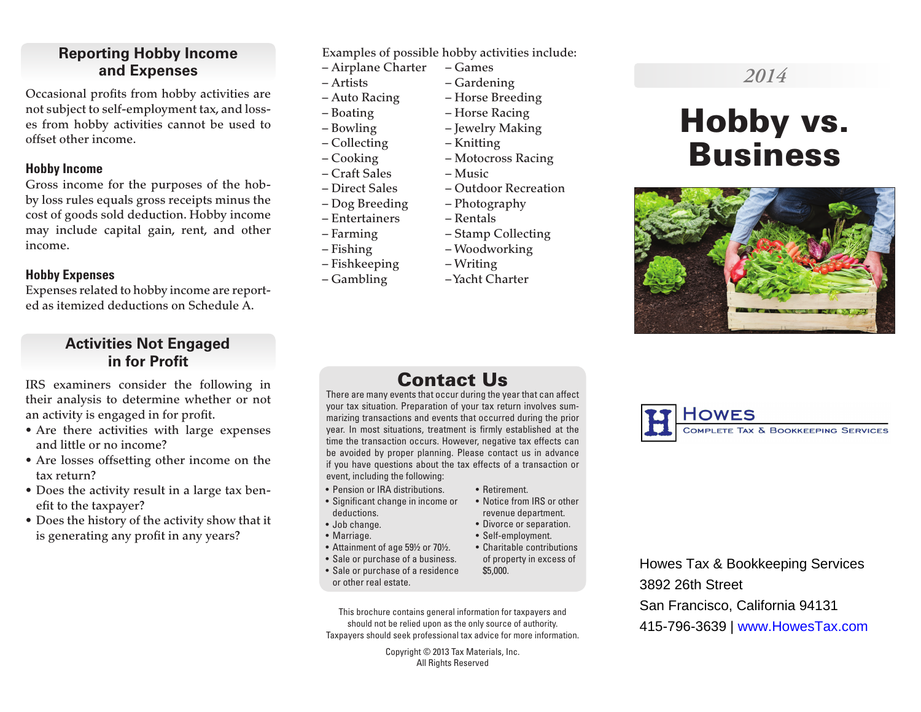## **Reporting Hobby Income and Expenses**

Occasional profits from hobby activities are not subject to self-employment tax, and losses from hobby activities cannot be used to offset other income.

#### **Hobby Income**

Gross income for the purposes of the hobby loss rules equals gross receipts minus the cost of goods sold deduction. Hobby income may include capital gain, rent, and other income.

## **Hobby Expenses**

Expenses related to hobby income are reported as itemized deductions on Schedule A.

## **Activities Not Engaged in for Profit**

IRS examiners consider the following in their analysis to determine whether or not an activity is engaged in for profit.

- Are there activities with large expenses and little or no income?
- Are losses offsetting other income on the tax return?
- Does the activity result in a large tax benefit to the taxpayer?
- Does the history of the activity show that it is generating any profit in any years?

Examples of possible hobby activities include:

- Airplane Charter Games
- Artists Gardening
- 
- 
- 
- Cooking Motocross Racing
- Craft Sales Music
- Direct Sales Outdoor Recreation
- Dog Breeding Photography
- Entertainers Rentals
- Farming Stamp Collecting
- 
- Fishkeeping Writing
- Gambling Yacht Charter

## – Auto Racing – Horse Breeding

- Boating Horse Racing – Bowling – Jewelry Making
- Collecting Knitting
	-
	-
	-
	-
	-
	-
- Fishing Woodworking
	-
	-

## Contact Us

There are many events that occur during the year that can affect your tax situation. Preparation of your tax return involves summarizing transactions and events that occurred during the prior year. In most situations, treatment is firmly established at the time the transaction occurs. However, negative tax effects can be avoided by proper planning. Please contact us in advance if you have questions about the tax effects of a transaction or event, including the following:

- Pension or IRA distributions.
- Significant change in income or deductions.
- Job change.
- Marriage.
- Attainment of age 59½ or 70½.
- Sale or purchase of a business. • Sale or purchase of a residence
- or other real estate.
- This brochure contains general information for taxpayers and should not be relied upon as the only source of authority. Taxpayers should seek professional tax advice for more information.

Copyright © 2013 Tax Materials, Inc. All Rights Reserved

- Retirement.
- Notice from IRS or other revenue department.
- Divorce or separation.
- Self-employment.
- Charitable contributions of property in excess of \$5,000.

Howes Tax & Bookkeeping Services 3892 26th Street San Francisco, California 94131 415-796-3639 | www.HowesTax.com

## *2014*

# Hobby vs. Business